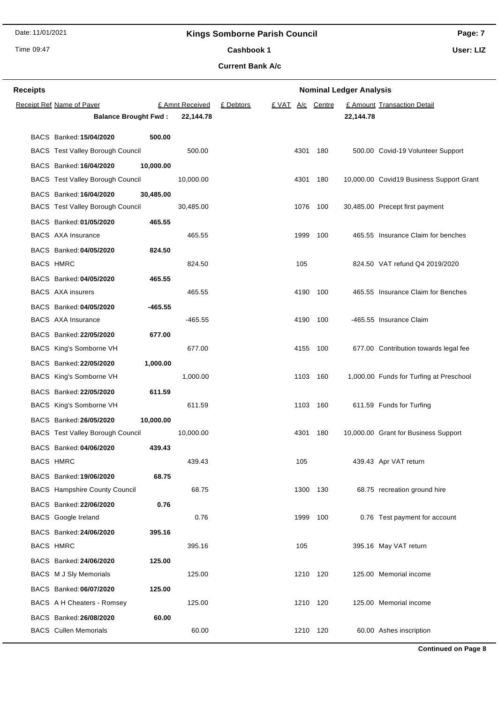Date: 11/01/2021

**Receipt Ref Name of Payer** 

### **Kings Somborne Parish Council**

Time 09:47

**Receipts**

**Page: 7 User: LIZ**

Cashbook 1

**Current Bank A/c**

£ Amnt Received £ Debtors £ VAT A/c Centre

**Balance Brought Fwd : 22,144.78 22,144.78**

**Nominal Ledger Analysis**

£ Amount Transaction Detail

| BACS Banked: 15/04/2020                 | 500.00    |           |      |          |                                          |
|-----------------------------------------|-----------|-----------|------|----------|------------------------------------------|
| <b>BACS</b> Test Valley Borough Council |           | 500.00    | 4301 | 180      | 500.00 Covid-19 Volunteer Support        |
| BACS Banked: 16/04/2020                 | 10,000.00 |           |      |          |                                          |
| <b>BACS</b> Test Valley Borough Council |           | 10,000.00 | 4301 | 180      | 10,000.00 Covid19 Business Support Grant |
| BACS Banked: 16/04/2020                 | 30,485.00 |           |      |          |                                          |
| <b>BACS</b> Test Valley Borough Council |           | 30,485.00 | 1076 | 100      | 30,485.00 Precept first payment          |
| BACS Banked: 01/05/2020                 | 465.55    |           |      |          |                                          |
| <b>BACS</b> AXA Insurance               |           | 465.55    | 1999 | 100      | 465.55 Insurance Claim for benches       |
| BACS Banked: 04/05/2020                 | 824.50    |           |      |          |                                          |
| BACS HMRC                               |           | 824.50    | 105  |          | 824.50 VAT refund Q4 2019/2020           |
| BACS Banked: 04/05/2020                 | 465.55    |           |      |          |                                          |
| <b>BACS</b> AXA insurers                |           | 465.55    | 4190 | 100      | 465.55 Insurance Claim for Benches       |
| BACS Banked: 04/05/2020                 | $-465.55$ |           |      |          |                                          |
| <b>BACS</b> AXA Insurance               |           | -465.55   | 4190 | 100      | -465.55 Insurance Claim                  |
| BACS Banked: 22/05/2020                 | 677.00    |           |      |          |                                          |
| BACS King's Somborne VH                 |           | 677.00    | 4155 | 100      | 677.00 Contribution towards legal fee    |
| BACS Banked: 22/05/2020                 | 1,000.00  |           |      |          |                                          |
| BACS King's Somborne VH                 |           | 1,000.00  |      | 1103 160 | 1,000.00 Funds for Turfing at Preschool  |
| BACS Banked: 22/05/2020                 | 611.59    |           |      |          |                                          |
| BACS King's Somborne VH                 |           | 611.59    | 1103 | 160      | 611.59 Funds for Turfing                 |
| BACS Banked: 26/05/2020                 | 10,000.00 |           |      |          |                                          |
| <b>BACS</b> Test Valley Borough Council |           | 10,000.00 | 4301 | 180      | 10,000.00 Grant for Business Support     |
| BACS Banked: 04/06/2020                 | 439.43    |           |      |          |                                          |
| <b>BACS HMRC</b>                        |           | 439.43    | 105  |          | 439.43 Apr VAT return                    |
| BACS Banked: 19/06/2020                 | 68.75     |           |      |          |                                          |
| <b>BACS</b> Hampshire County Council    |           | 68.75     | 1300 | - 130    | 68.75 recreation ground hire             |
| BACS Banked: 22/06/2020                 | 0.76      |           |      |          |                                          |
| <b>BACS</b> Google Ireland              |           | 0.76      |      | 1999 100 | 0.76 Test payment for account            |
| BACS Banked: 24/06/2020                 | 395.16    |           |      |          |                                          |
| BACS HMRC                               |           | 395.16    | 105  |          | 395.16 May VAT return                    |
| BACS Banked: 24/06/2020                 | 125.00    |           |      |          |                                          |
| <b>BACS M J Sly Memorials</b>           |           | 125.00    | 1210 | 120      | 125.00 Memorial income                   |
| BACS Banked: 06/07/2020                 | 125.00    |           |      |          |                                          |
| BACS A H Cheaters - Romsey              |           | 125.00    |      | 1210 120 | 125.00 Memorial income                   |
| BACS Banked: 26/08/2020                 | 60.00     |           |      |          |                                          |

BACS Cullen Memorials **60.00** 1210 120 60.00 Ashes inscription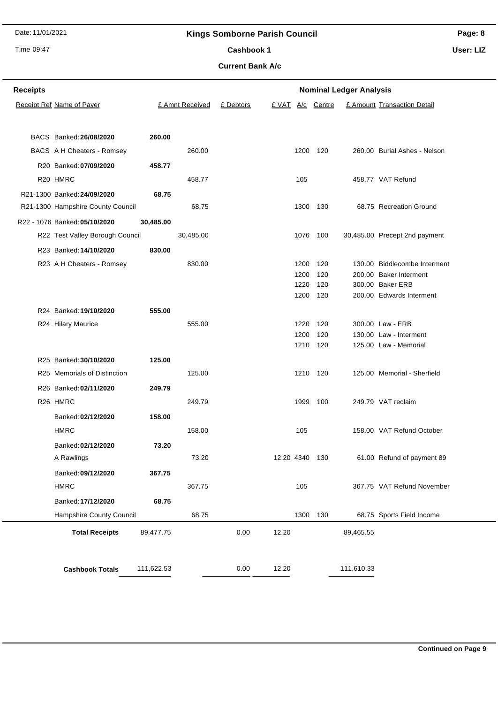Date: 11/01/2021

## **Kings Somborne Parish Council**

Time 09:47

## **Page: 8**

Cashbook 1

**Current Bank A/c**

**User: LIZ**

| Receipts |                                   |            |                 |           |                |      |                  | <b>Nominal Ledger Analysis</b> |                               |
|----------|-----------------------------------|------------|-----------------|-----------|----------------|------|------------------|--------------------------------|-------------------------------|
|          | <b>Receipt Ref Name of Payer</b>  |            | £ Amnt Received | £ Debtors |                |      | £ VAT A/c Centre |                                | £ Amount Transaction Detail   |
|          |                                   |            |                 |           |                |      |                  |                                |                               |
|          | BACS Banked: 26/08/2020           | 260.00     |                 |           |                |      |                  |                                |                               |
|          | BACS A H Cheaters - Romsey        |            | 260.00          |           |                | 1200 | 120              |                                | 260.00 Burial Ashes - Nelson  |
|          | R20 Banked: 07/09/2020            | 458.77     |                 |           |                |      |                  |                                |                               |
|          | R20 HMRC                          |            | 458.77          |           |                | 105  |                  |                                | 458.77 VAT Refund             |
|          | R21-1300 Banked: 24/09/2020       | 68.75      |                 |           |                |      |                  |                                |                               |
|          | R21-1300 Hampshire County Council |            | 68.75           |           |                |      | 1300 130         |                                | 68.75 Recreation Ground       |
|          | R22 - 1076 Banked: 05/10/2020     | 30,485.00  |                 |           |                |      |                  |                                |                               |
|          | R22 Test Valley Borough Council   |            | 30,485.00       |           |                |      | 1076 100         |                                | 30,485.00 Precept 2nd payment |
|          | R23 Banked: 14/10/2020            | 830.00     |                 |           |                |      |                  |                                |                               |
|          | R23 A H Cheaters - Romsey         |            | 830.00          |           |                | 1200 | 120              |                                | 130.00 Biddlecombe Interment  |
|          |                                   |            |                 |           |                | 1200 | 120              |                                | 200.00 Baker Interment        |
|          |                                   |            |                 |           |                | 1220 | 120              |                                | 300.00 Baker ERB              |
|          |                                   |            |                 |           |                | 1200 | 120              |                                | 200.00 Edwards Interment      |
|          | R24 Banked: 19/10/2020            | 555.00     |                 |           |                |      |                  |                                |                               |
|          | R24 Hilary Maurice                |            | 555.00          |           |                | 1220 | 120              |                                | 300.00 Law - ERB              |
|          |                                   |            |                 |           |                | 1200 | 120              |                                | 130.00 Law - Interment        |
|          |                                   |            |                 |           |                |      | 1210 120         |                                | 125.00 Law - Memorial         |
|          | R25 Banked: 30/10/2020            | 125.00     |                 |           |                |      |                  |                                |                               |
|          | R25 Memorials of Distinction      |            | 125.00          |           |                |      | 1210 120         |                                | 125.00 Memorial - Sherfield   |
|          | R26 Banked: 02/11/2020            | 249.79     |                 |           |                |      |                  |                                |                               |
|          | R <sub>26</sub> HMRC              |            | 249.79          |           |                | 1999 | 100              |                                | 249.79 VAT reclaim            |
|          | Banked: 02/12/2020                | 158.00     |                 |           |                |      |                  |                                |                               |
|          | <b>HMRC</b>                       |            | 158.00          |           |                | 105  |                  |                                | 158.00 VAT Refund October     |
|          | Banked: 02/12/2020                | 73.20      |                 |           |                |      |                  |                                |                               |
|          | A Rawlings                        |            | 73.20           |           | 12.20 4340 130 |      |                  |                                | 61.00 Refund of payment 89    |
|          | Banked: 09/12/2020                | 367.75     |                 |           |                |      |                  |                                |                               |
|          | <b>HMRC</b>                       |            | 367.75          |           |                | 105  |                  |                                | 367.75 VAT Refund November    |
|          | Banked: 17/12/2020                | 68.75      |                 |           |                |      |                  |                                |                               |
|          | Hampshire County Council          |            | 68.75           |           |                | 1300 | 130              |                                | 68.75 Sports Field Income     |
|          | <b>Total Receipts</b>             | 89,477.75  |                 | 0.00      | 12.20          |      |                  | 89,465.55                      |                               |
|          |                                   |            |                 |           |                |      |                  |                                |                               |
|          | <b>Cashbook Totals</b>            | 111,622.53 |                 | 0.00      | 12.20          |      |                  | 111,610.33                     |                               |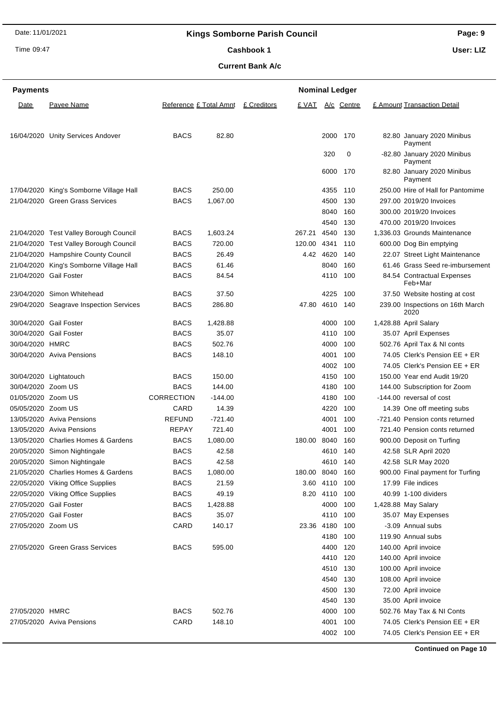Time 09:47

**Payments**

27/05/2020 Gail Foster

## **Page: 9 User: LIZ**

£ Amount Transaction Detail

Payment

**Payment** 

320 0 -82.80 January 2020 Minibus

Cashbook 1

**Current Bank A/c**

16/04/2020 Unity Services Andover BACS 82.80 2000 170 82.80 January 2020 Minibus

27/05/2020 Gail Foster BACS 35.07 4110 100 35.07 May Expenses 27/05/2020 Zoom US CARD 140.17 23.36 4180 100 -3.09 Annual subs

27/05/2020 Green Grass Services BACS 595.00 4400 120 140.00 April invoice

27/05/2020 HMRC BACS 502.76 4000 100 502.76 May Tax & NI Conts 27/05/2020 Aviva Pensions CARD 148.10 4001 100 74.05 Clerk's Pension EE + ER

|                    |                                         |                   |           |             | 6000 170 |     | 82.80 January 2020 Minibus<br>Payment    |
|--------------------|-----------------------------------------|-------------------|-----------|-------------|----------|-----|------------------------------------------|
|                    | 17/04/2020 King's Somborne Village Hall | <b>BACS</b>       | 250.00    |             | 4355     | 110 | 250.00 Hire of Hall for Pantomime        |
|                    | 21/04/2020 Green Grass Services         | <b>BACS</b>       | 1,067.00  |             | 4500 130 |     | 297.00 2019/20 Invoices                  |
|                    |                                         |                   |           |             | 8040     | 160 | 300.00 2019/20 Invoices                  |
|                    |                                         |                   |           |             | 4540     | 130 | 470.00 2019/20 Invoices                  |
|                    | 21/04/2020 Test Valley Borough Council  | <b>BACS</b>       | 1,603.24  | 267.21      | 4540     | 130 | 1,336.03 Grounds Maintenance             |
|                    | 21/04/2020 Test Valley Borough Council  | <b>BACS</b>       | 720.00    | 120.00      | 4341 110 |     | 600.00 Dog Bin emptying                  |
|                    | 21/04/2020 Hampshire County Council     | <b>BACS</b>       | 26.49     | 4.42        | 4620     | 140 | 22.07 Street Light Maintenance           |
|                    | 21/04/2020 King's Somborne Village Hall | <b>BACS</b>       | 61.46     |             | 8040     | 160 | 61.46 Grass Seed re-imbursement          |
|                    | 21/04/2020 Gail Foster                  | <b>BACS</b>       | 84.54     |             | 4110     | 100 | 84.54 Contractual Expenses<br>Feb+Mar    |
|                    | 23/04/2020 Simon Whitehead              | <b>BACS</b>       | 37.50     |             | 4225     | 100 | 37.50 Website hosting at cost            |
|                    | 29/04/2020 Seagrave Inspection Services | <b>BACS</b>       | 286.80    | 47.80       | 4610 140 |     | 239.00 Inspections on 16th March<br>2020 |
|                    | 30/04/2020 Gail Foster                  | <b>BACS</b>       | 1,428.88  |             | 4000     | 100 | 1,428.88 April Salary                    |
|                    | 30/04/2020 Gail Foster                  | <b>BACS</b>       | 35.07     |             | 4110     | 100 | 35.07 April Expenses                     |
| 30/04/2020 HMRC    |                                         | <b>BACS</b>       | 502.76    |             | 4000 100 |     | 502.76 April Tax & NI conts              |
|                    | 30/04/2020 Aviva Pensions               | <b>BACS</b>       | 148.10    |             | 4001     | 100 | 74.05 Clerk's Pension EE + ER            |
|                    |                                         |                   |           |             | 4002     | 100 | 74.05 Clerk's Pension EE + ER            |
|                    | 30/04/2020 Lightatouch                  | <b>BACS</b>       | 150.00    |             | 4150     | 100 | 150.00 Year end Audit 19/20              |
| 30/04/2020 Zoom US |                                         | <b>BACS</b>       | 144.00    |             | 4180     | 100 | 144.00 Subscription for Zoom             |
| 01/05/2020 Zoom US |                                         | <b>CORRECTION</b> | $-144.00$ |             | 4180     | 100 | -144.00 reversal of cost                 |
| 05/05/2020 Zoom US |                                         | CARD              | 14.39     |             | 4220     | 100 | 14.39 One off meeting subs               |
|                    | 13/05/2020 Aviva Pensions               | <b>REFUND</b>     | $-721.40$ |             | 4001     | 100 | -721.40 Pension conts returned           |
|                    | 13/05/2020 Aviva Pensions               | <b>REPAY</b>      | 721.40    |             | 4001     | 100 | 721.40 Pension conts returned            |
|                    | 13/05/2020 Charlies Homes & Gardens     | <b>BACS</b>       | 1,080.00  | 180.00      | 8040     | 160 | 900.00 Deposit on Turfing                |
|                    | 20/05/2020 Simon Nightingale            | <b>BACS</b>       | 42.58     |             | 4610     | 140 | 42.58 SLR April 2020                     |
|                    | 20/05/2020 Simon Nightingale            | <b>BACS</b>       | 42.58     |             | 4610     | 140 | 42.58 SLR May 2020                       |
|                    | 21/05/2020 Charlies Homes & Gardens     | <b>BACS</b>       | 1,080.00  | 180.00 8040 |          | 160 | 900.00 Final payment for Turfing         |
|                    | 22/05/2020 Viking Office Supplies       | <b>BACS</b>       | 21.59     | 3.60        | 4110     | 100 | 17.99 File indices                       |
|                    | 22/05/2020 Viking Office Supplies       | <b>BACS</b>       | 49.19     | 8.20        | 4110 100 |     | 40.99 1-100 dividers                     |
|                    | 27/05/2020 Gail Foster                  | <b>BACS</b>       | 142888    |             | 4000 100 |     | 1 428 88 May Salary                      |

**Nominal Ledger** 

4180 100 119.90 Annual subs

 120 140.00 April invoice 130 100.00 April invoice 130 108.00 April invoice 130 72.00 April invoice 130 35.00 April invoice

4002 100 74.05 Clerk's Pension EE + ER

|  |  | C <sub>1</sub> |
|--|--|----------------|

Date Payee Name **Reference £ Total Amnt** £ Creditors E VAT A/c Centre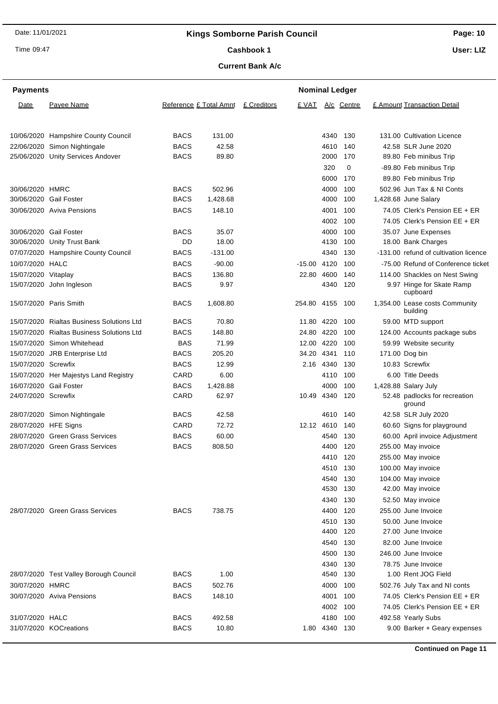Time 09:47

# **Page: 10 User: LIZ**

Cashbook 1

**Current Bank A/c**

| <b>Payments</b>        |                                           |                            |                 |             | <b>Nominal Ledger</b> |                   |            |                                                    |
|------------------------|-------------------------------------------|----------------------------|-----------------|-------------|-----------------------|-------------------|------------|----------------------------------------------------|
| Date                   | Payee Name                                | Reference £ Total Amnt     |                 | £ Creditors | <u>E VAT</u>          |                   | A/c Centre | £ Amount Transaction Detail                        |
|                        |                                           |                            |                 |             |                       |                   |            |                                                    |
|                        | 10/06/2020 Hampshire County Council       | <b>BACS</b>                | 131.00          |             |                       | 4340              | 130        | 131.00 Cultivation Licence                         |
|                        | 22/06/2020 Simon Nightingale              | <b>BACS</b>                | 42.58           |             |                       | 4610              | 140        | 42.58 SLR June 2020                                |
|                        | 25/06/2020 Unity Services Andover         | <b>BACS</b>                | 89.80           |             |                       | 2000              | 170        | 89.80 Feb minibus Trip                             |
|                        |                                           |                            |                 |             |                       | 320               | 0          | -89.80 Feb minibus Trip                            |
|                        |                                           |                            |                 |             |                       | 6000              | 170        | 89.80 Feb minibus Trip                             |
| 30/06/2020 HMRC        |                                           | <b>BACS</b>                | 502.96          |             |                       | 4000              | 100        | 502.96 Jun Tax & NI Conts                          |
| 30/06/2020 Gail Foster |                                           | <b>BACS</b>                | 1,428.68        |             |                       | 4000              | 100        | 1,428.68 June Salary                               |
|                        | 30/06/2020 Aviva Pensions                 | <b>BACS</b>                | 148.10          |             |                       | 4001              | 100        | 74.05 Clerk's Pension EE + ER                      |
|                        |                                           |                            |                 |             |                       | 4002              | 100        | 74.05 Clerk's Pension EE + ER                      |
| 30/06/2020 Gail Foster |                                           | <b>BACS</b>                | 35.07           |             |                       | 4000              | 100        | 35.07 June Expenses                                |
|                        | 30/06/2020 Unity Trust Bank               | DD                         | 18.00           |             |                       | 4130              | 100        | 18.00 Bank Charges                                 |
|                        | 07/07/2020 Hampshire County Council       | <b>BACS</b>                | $-131.00$       |             |                       | 4340              | 130        | -131.00 refund of cultivation licence              |
| 10/07/2020 HALC        |                                           | <b>BACS</b>                | $-90.00$        |             | $-15.00$              | 4120              | 100        | -75.00 Refund of Conference ticket                 |
| 15/07/2020 Vitaplay    |                                           | <b>BACS</b>                | 136.80          |             | 22.80                 | 4600              | 140        | 114.00 Shackles on Nest Swing                      |
|                        | 15/07/2020 John Ingleson                  | <b>BACS</b>                | 9.97            |             |                       | 4340              | 120        | 9.97 Hinge for Skate Ramp<br>cupboard              |
|                        | 15/07/2020 Paris Smith                    | <b>BACS</b>                | 1,608.80        |             | 254.80                | 4155              | 100        | 1,354.00 Lease costs Community<br>building         |
|                        | 15/07/2020 Rialtas Business Solutions Ltd | <b>BACS</b>                | 70.80           |             | 11.80                 | 4220              | 100        | 59.00 MTD support                                  |
|                        | 15/07/2020 Rialtas Business Solutions Ltd | <b>BACS</b>                | 148.80          |             | 24.80 4220            |                   | 100        | 124.00 Accounts package subs                       |
|                        | 15/07/2020 Simon Whitehead                | <b>BAS</b>                 | 71.99           |             | 12.00                 | 4220              | 100        | 59.99 Website security                             |
|                        | 15/07/2020 JRB Enterprise Ltd             | <b>BACS</b>                | 205.20          |             | 34.20                 | 4341              | 110        | 171.00 Dog bin                                     |
| 15/07/2020 Screwfix    |                                           | <b>BACS</b>                | 12.99           |             | 2.16                  | 4340              | 130        | 10.83 Screwfix                                     |
|                        | 15/07/2020 Her Majestys Land Registry     | CARD                       | 6.00            |             |                       | 4110              | 100        | 6.00 Title Deeds                                   |
| 16/07/2020 Gail Foster |                                           | <b>BACS</b>                | 1,428.88        |             |                       | 4000              | 100        | 1,428.88 Salary July                               |
| 24/07/2020 Screwfix    |                                           | CARD                       | 62.97           |             | 10.49                 | 4340              | 120        | 52.48 padlocks for recreation<br>ground            |
|                        | 28/07/2020 Simon Nightingale              | <b>BACS</b>                | 42.58           |             |                       | 4610              | 140        | 42.58 SLR July 2020                                |
| 28/07/2020 HFE Signs   |                                           | CARD                       | 72.72           |             | 12.12 4610            |                   | 140        | 60.60 Signs for playground                         |
|                        | 28/07/2020 Green Grass Services           | <b>BACS</b>                | 60.00           |             |                       | 4540              | 130        | 60.00 April invoice Adjustment                     |
|                        | 28/07/2020 Green Grass Services           | <b>BACS</b>                | 808.50          |             |                       | 4400              | 120        | 255.00 May invoice                                 |
|                        |                                           |                            |                 |             |                       | 4410 120          |            | 255.00 May invoice                                 |
|                        |                                           |                            |                 |             |                       | 4510              | 130        | 100.00 May invoice                                 |
|                        |                                           |                            |                 |             |                       | 4540              | 130        | 104.00 May invoice                                 |
|                        |                                           |                            |                 |             |                       | 4530              | 130        | 42.00 May invoice                                  |
|                        |                                           |                            |                 |             |                       | 4340              | 130        | 52.50 May invoice                                  |
|                        | 28/07/2020 Green Grass Services           | <b>BACS</b>                | 738.75          |             |                       | 4400              | 120        | 255.00 June Invoice                                |
|                        |                                           |                            |                 |             |                       | 4510              | 130        | 50.00 June Invoice                                 |
|                        |                                           |                            |                 |             |                       | 4400              | 120        | 27.00 June Invoice                                 |
|                        |                                           |                            |                 |             |                       | 4540              | 130        | 82.00 June Invoice                                 |
|                        |                                           |                            |                 |             |                       | 4500              | 130        | 246.00 June Invoice                                |
|                        |                                           |                            |                 |             |                       | 4340              | 130        | 78.75 June Invoice                                 |
|                        | 28/07/2020 Test Valley Borough Council    | <b>BACS</b>                | 1.00            |             |                       | 4540              | 130        | 1.00 Rent JOG Field                                |
| 30/07/2020 HMRC        |                                           | <b>BACS</b>                | 502.76          |             |                       | 4000              | 100        | 502.76 July Tax and NI conts                       |
|                        | 30/07/2020 Aviva Pensions                 | <b>BACS</b>                | 148.10          |             |                       | 4001              | 100        | 74.05 Clerk's Pension EE + ER                      |
|                        |                                           |                            |                 |             |                       | 4002              | 100        | 74.05 Clerk's Pension EE + ER                      |
| 31/07/2020 HALC        | 31/07/2020 KOCreations                    | <b>BACS</b><br><b>BACS</b> | 492.58<br>10.80 |             |                       | 4180<br>1.80 4340 | 100<br>130 | 492.58 Yearly Subs<br>9.00 Barker + Geary expenses |
|                        |                                           |                            |                 |             |                       |                   |            |                                                    |

**Continued on Page 11**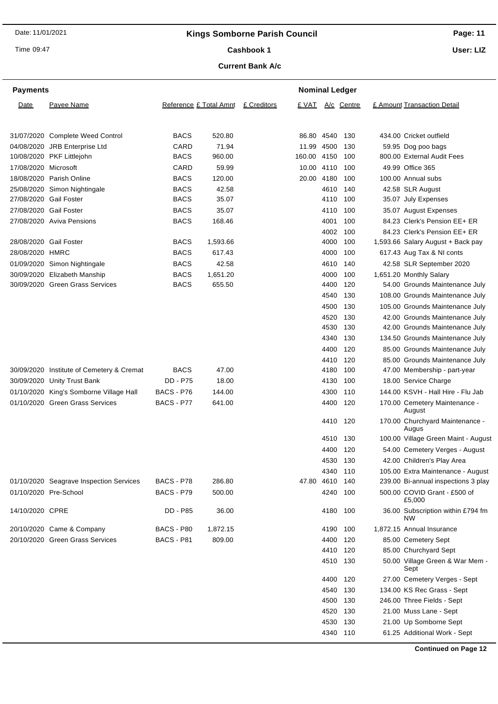Time 09:47

# **Page: 11 User: LIZ**

Cashbook 1

### **Current Bank A/c**

| <b>Payments</b>      |                                         |                 |                        |             | <b>Nominal Ledger</b> |            |                  |                                                |
|----------------------|-----------------------------------------|-----------------|------------------------|-------------|-----------------------|------------|------------------|------------------------------------------------|
| Date                 | Payee Name                              |                 | Reference £ Total Amnt | £ Creditors |                       |            | £ VAT A/c Centre | £ Amount Transaction Detail                    |
|                      | 31/07/2020 Complete Weed Control        | <b>BACS</b>     | 520.80                 |             | 86.80 4540            |            | 130              | 434.00 Cricket outfield                        |
|                      | 04/08/2020 JRB Enterprise Ltd           | CARD            | 71.94                  |             | 11.99 4500            |            | 130              | 59.95 Dog poo bags                             |
|                      | 10/08/2020 PKF Littlejohn               | <b>BACS</b>     | 960.00                 |             | 160.00 4150           |            | 100              | 800.00 External Audit Fees                     |
| 17/08/2020 Microsoft |                                         | CARD            | 59.99                  |             |                       | 10.00 4110 | 100              | 49.99 Office 365                               |
|                      | 18/08/2020 Parish Online                | <b>BACS</b>     | 120.00                 |             | 20.00 4180            |            | 100              | 100.00 Annual subs                             |
|                      | 25/08/2020 Simon Nightingale            | <b>BACS</b>     | 42.58                  |             |                       | 4610       | 140              | 42.58 SLR August                               |
|                      | 27/08/2020 Gail Foster                  | <b>BACS</b>     | 35.07                  |             |                       | 4110       | 100              | 35.07 July Expenses                            |
|                      | 27/08/2020 Gail Foster                  | <b>BACS</b>     | 35.07                  |             |                       | 4110       | 100              | 35.07 August Expenses                          |
|                      | 27/08/2020 Aviva Pensions               | <b>BACS</b>     | 168.46                 |             |                       | 4001       | 100              | 84.23 Clerk's Pension EE+ ER                   |
|                      |                                         |                 |                        |             |                       | 4002       | 100              | 84.23 Clerk's Pension EE+ ER                   |
|                      | 28/08/2020 Gail Foster                  | <b>BACS</b>     | 1,593.66               |             |                       | 4000       | 100              | 1,593.66 Salary August + Back pay              |
| 28/08/2020 HMRC      |                                         | <b>BACS</b>     | 617.43                 |             |                       | 4000       | 100              | 617.43 Aug Tax & NI conts                      |
|                      | 01/09/2020 Simon Nightingale            | <b>BACS</b>     | 42.58                  |             |                       | 4610       | 140              | 42.58 SLR September 2020                       |
|                      | 30/09/2020 Elizabeth Manship            | <b>BACS</b>     | 1,651.20               |             |                       | 4000       | 100              | 1,651.20 Monthly Salary                        |
|                      | 30/09/2020 Green Grass Services         | <b>BACS</b>     | 655.50                 |             |                       | 4400       | 120              | 54.00 Grounds Maintenance July                 |
|                      |                                         |                 |                        |             |                       | 4540       | 130              | 108.00 Grounds Maintenance July                |
|                      |                                         |                 |                        |             |                       | 4500       | 130              | 105.00 Grounds Maintenance July                |
|                      |                                         |                 |                        |             |                       | 4520       | 130              | 42.00 Grounds Maintenance July                 |
|                      |                                         |                 |                        |             |                       | 4530       | 130              | 42.00 Grounds Maintenance July                 |
|                      |                                         |                 |                        |             |                       | 4340       | 130              | 134.50 Grounds Maintenance July                |
|                      |                                         |                 |                        |             |                       | 4400       | 120              | 85.00 Grounds Maintenance July                 |
|                      |                                         |                 |                        |             |                       | 4410       | 120              | 85.00 Grounds Maintenance July                 |
| 30/09/2020           | Institute of Cemetery & Cremat          | <b>BACS</b>     | 47.00                  |             |                       | 4180       | 100              | 47.00 Membership - part-year                   |
| 30/09/2020           | <b>Unity Trust Bank</b>                 | <b>DD - P75</b> | 18.00                  |             |                       | 4130       | 100              | 18.00 Service Charge                           |
|                      | 01/10/2020 King's Somborne Village Hall | BACS - P76      | 144.00                 |             |                       | 4300       | 110              | 144.00 KSVH - Hall Hire - Flu Jab              |
|                      | 01/10/2020 Green Grass Services         | BACS - P77      | 641.00                 |             |                       | 4400       | 120              | 170.00 Cemetery Maintenance -<br>August        |
|                      |                                         |                 |                        |             |                       | 4410       | 120              | 170.00 Churchyard Maintenance -<br>Augus       |
|                      |                                         |                 |                        |             |                       | 4510       | 130              | 100.00 Village Green Maint - August            |
|                      |                                         |                 |                        |             |                       | 4400       | 120              | 54.00 Cemetery Verges - August                 |
|                      |                                         |                 |                        |             |                       | 4530 130   |                  | 42.00 Children's Play Area                     |
|                      |                                         |                 |                        |             |                       | 4340       | 110              | 105.00 Extra Maintenance - August              |
|                      | 01/10/2020 Seagrave Inspection Services | BACS - P78      | 286.80                 |             | 47.80 4610            |            | 140              | 239.00 Bi-annual inspections 3 play            |
|                      | 01/10/2020 Pre-School                   | BACS - P79      | 500.00                 |             |                       | 4240       | 100              | 500.00 COVID Grant - £500 of<br>£5,000         |
| 14/10/2020 CPRE      |                                         | DD - P85        | 36.00                  |             |                       | 4180       | 100              | 36.00 Subscription within £794 fm<br><b>NW</b> |
|                      | 20/10/2020 Came & Company               | BACS - P80      | 1,872.15               |             |                       | 4190       | 100              | 1,872.15 Annual Insurance                      |
|                      | 20/10/2020 Green Grass Services         | BACS - P81      | 809.00                 |             |                       | 4400       | 120              | 85.00 Cemetery Sept                            |
|                      |                                         |                 |                        |             |                       |            | 4410 120         | 85.00 Churchyard Sept                          |
|                      |                                         |                 |                        |             |                       | 4510       | 130              | 50.00 Village Green & War Mem -<br>Sept        |
|                      |                                         |                 |                        |             |                       | 4400       | 120              | 27.00 Cemetery Verges - Sept                   |
|                      |                                         |                 |                        |             |                       | 4540       | 130              | 134.00 KS Rec Grass - Sept                     |
|                      |                                         |                 |                        |             |                       | 4500       | 130              | 246.00 Three Fields - Sept                     |
|                      |                                         |                 |                        |             |                       | 4520       | 130              | 21.00 Muss Lane - Sept                         |
|                      |                                         |                 |                        |             |                       |            | 4530 130         | 21.00 Up Somborne Sept                         |

**Continued on Page 12**

4340 110 61.25 Additional Work - Sept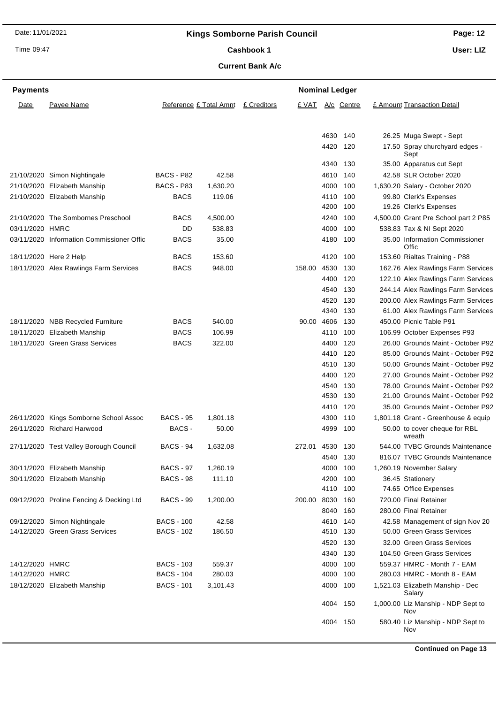Time 09:47

## **Page: 12**

Cashbook 1

**User: LIZ**

### **Current Bank A/c**

| <b>Payments</b> |                                           |                   |                        |             | <b>Nominal Ledger</b> |      |            |                                            |
|-----------------|-------------------------------------------|-------------------|------------------------|-------------|-----------------------|------|------------|--------------------------------------------|
| Date            | Payee Name                                |                   | Reference £ Total Amnt | £ Creditors | <u>E VAT</u>          |      | A/c Centre | £ Amount Transaction Detail                |
|                 |                                           |                   |                        |             |                       |      |            |                                            |
|                 |                                           |                   |                        |             |                       | 4630 | 140        | 26.25 Muga Swept - Sept                    |
|                 |                                           |                   |                        |             |                       | 4420 | 120        | 17.50 Spray churchyard edges -<br>Sept     |
|                 |                                           |                   |                        |             |                       | 4340 | 130        | 35.00 Apparatus cut Sept                   |
|                 | 21/10/2020 Simon Nightingale              | BACS - P82        | 42.58                  |             |                       | 4610 | 140        | 42.58 SLR October 2020                     |
|                 | 21/10/2020 Elizabeth Manship              | BACS - P83        | 1,630.20               |             |                       | 4000 | 100        | 1,630.20 Salary - October 2020             |
|                 | 21/10/2020 Elizabeth Manship              | <b>BACS</b>       | 119.06                 |             |                       | 4110 | 100        | 99.80 Clerk's Expenses                     |
|                 |                                           |                   |                        |             |                       | 4200 | 100        | 19.26 Clerk's Expenses                     |
|                 | 21/10/2020 The Sombornes Preschool        | <b>BACS</b>       | 4,500.00               |             |                       | 4240 | 100        | 4,500.00 Grant Pre School part 2 P85       |
| 03/11/2020 HMRC |                                           | DD                | 538.83                 |             |                       | 4000 | 100        | 538.83 Tax & NI Sept 2020                  |
|                 | 03/11/2020 Information Commissioner Offic | <b>BACS</b>       | 35.00                  |             |                       | 4180 | 100        | 35.00 Information Commissioner<br>Offic    |
|                 | 18/11/2020 Here 2 Help                    | <b>BACS</b>       | 153.60                 |             |                       | 4120 | 100        | 153.60 Rialtas Training - P88              |
|                 | 18/11/2020 Alex Rawlings Farm Services    | <b>BACS</b>       | 948.00                 |             | 158.00 4530           |      | 130        | 162.76 Alex Rawlings Farm Services         |
|                 |                                           |                   |                        |             |                       | 4400 | 120        | 122.10 Alex Rawlings Farm Services         |
|                 |                                           |                   |                        |             |                       | 4540 | 130        | 244.14 Alex Rawlings Farm Services         |
|                 |                                           |                   |                        |             |                       | 4520 | 130        | 200.00 Alex Rawlings Farm Services         |
|                 |                                           |                   |                        |             |                       | 4340 | 130        | 61.00 Alex Rawlings Farm Services          |
|                 | 18/11/2020 NBB Recycled Furniture         | <b>BACS</b>       | 540.00                 |             | 90.00 4606            |      | 130        | 450.00 Picnic Table P91                    |
|                 | 18/11/2020 Elizabeth Manship              | <b>BACS</b>       | 106.99                 |             |                       | 4110 | 100        | 106.99 October Expenses P93                |
|                 | 18/11/2020 Green Grass Services           | <b>BACS</b>       | 322.00                 |             |                       | 4400 | 120        | 26.00 Grounds Maint - October P92          |
|                 |                                           |                   |                        |             |                       | 4410 | 120        | 85.00 Grounds Maint - October P92          |
|                 |                                           |                   |                        |             |                       | 4510 | 130        | 50.00 Grounds Maint - October P92          |
|                 |                                           |                   |                        |             |                       | 4400 | 120        | 27.00 Grounds Maint - October P92          |
|                 |                                           |                   |                        |             |                       | 4540 | 130        | 78.00 Grounds Maint - October P92          |
|                 |                                           |                   |                        |             |                       | 4530 | 130        | 21.00 Grounds Maint - October P92          |
|                 |                                           |                   |                        |             |                       | 4410 | 120        | 35.00 Grounds Maint - October P92          |
|                 | 26/11/2020 Kings Somborne School Assoc    | <b>BACS - 95</b>  | 1,801.18               |             |                       | 4300 | 110        | 1,801.18 Grant - Greenhouse & equip        |
|                 | 26/11/2020 Richard Harwood                | BACS -            | 50.00                  |             |                       | 4999 | 100        | 50.00 to cover cheque for RBL<br>wreath    |
|                 | 27/11/2020 Test Valley Borough Council    | <b>BACS - 94</b>  | 1,632.08               |             | 272.01                | 4530 | 130        | 544.00 TVBC Grounds Maintenance            |
|                 |                                           |                   |                        |             |                       |      | 4540 130   | 816.07 TVBC Grounds Maintenance            |
|                 | 30/11/2020 Elizabeth Manship              | <b>BACS - 97</b>  | 1,260.19               |             |                       |      | 4000 100   | 1,260.19 November Salary                   |
|                 | 30/11/2020 Elizabeth Manship              | <b>BACS - 98</b>  | 111.10                 |             |                       | 4200 | 100        | 36.45 Stationery                           |
|                 |                                           |                   |                        |             |                       |      | 4110 100   | 74.65 Office Expenses                      |
|                 | 09/12/2020 Proline Fencing & Decking Ltd  | <b>BACS - 99</b>  | 1,200.00               |             | 200.00                | 8030 | 160        | 720.00 Final Retainer                      |
|                 |                                           |                   |                        |             |                       | 8040 | 160        | 280.00 Final Retainer                      |
|                 | 09/12/2020 Simon Nightingale              | <b>BACS - 100</b> | 42.58                  |             |                       | 4610 | 140        | 42.58 Management of sign Nov 20            |
|                 | 14/12/2020 Green Grass Services           | <b>BACS - 102</b> | 186.50                 |             |                       | 4510 | 130        | 50.00 Green Grass Services                 |
|                 |                                           |                   |                        |             |                       | 4520 | 130        | 32.00 Green Grass Services                 |
|                 |                                           |                   |                        |             |                       | 4340 | 130        | 104.50 Green Grass Services                |
| 14/12/2020 HMRC |                                           | <b>BACS - 103</b> | 559.37                 |             |                       | 4000 | 100        | 559.37 HMRC - Month 7 - EAM                |
| 14/12/2020 HMRC |                                           | <b>BACS - 104</b> | 280.03                 |             |                       | 4000 | 100        | 280.03 HMRC - Month 8 - EAM                |
|                 | 18/12/2020 Elizabeth Manship              | <b>BACS - 101</b> | 3,101.43               |             |                       | 4000 | 100        | 1,521.03 Elizabeth Manship - Dec<br>Salary |
|                 |                                           |                   |                        |             |                       |      | 4004 150   | 1,000.00 Liz Manship - NDP Sept to<br>Nov  |
|                 |                                           |                   |                        |             |                       |      | 4004 150   | 580.40 Liz Manship - NDP Sept to<br>Nov    |

**Continued on Page 13**